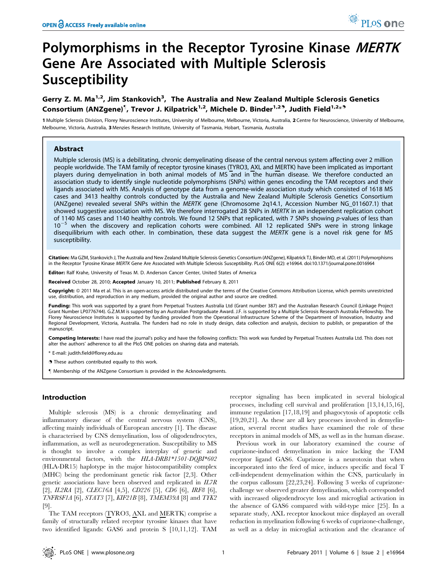# Polymorphisms in the Receptor Tyrosine Kinase MERTK Gene Are Associated with Multiple Sclerosis Susceptibility

# Gerry Z. M. Ma<sup>1,2</sup>, Jim Stankovich<sup>3</sup>, The Australia and New Zealand Multiple Sclerosis Genetics Consortium (ANZgene)<sup>¶</sup>, Trevor J. Kilpatrick<sup>1,2</sup>, Michele D. Binder<sup>1,29</sup>, Judith Field<sup>1,2</sup>\*<sup>9</sup>

1 Multiple Sclerosis Division, Florey Neuroscience Institutes, University of Melbourne, Melbourne, Victoria, Australia, 2 Centre for Neuroscience, University of Melbourne, Melbourne, Victoria, Australia, 3 Menzies Research Institute, University of Tasmania, Hobart, Tasmania, Australia

# Abstract

Multiple sclerosis (MS) is a debilitating, chronic demyelinating disease of the central nervous system affecting over 2 million people worldwide. The TAM family of receptor tyrosine kinases (TYRO3, AXL and MERTK) have been implicated as important players during demyelination in both animal models of MS and in the human disease. We therefore conducted an association study to identify single nucleotide polymorphisms (SNPs) within genes encoding the TAM receptors and their ligands associated with MS. Analysis of genotype data from a genome-wide association study which consisted of 1618 MS cases and 3413 healthy controls conducted by the Australia and New Zealand Multiple Sclerosis Genetics Consortium (ANZgene) revealed several SNPs within the MERTK gene (Chromosome 2q14.1, Accession Number NG\_011607.1) that showed suggestive association with MS. We therefore interrogated 28 SNPs in MERTK in an independent replication cohort of 1140 MS cases and 1140 healthy controls. We found 12 SNPs that replicated, with 7 SNPs showing p-values of less than  $10^{-5}$  when the discovery and replication cohorts were combined. All 12 replicated SNPs were in strong linkage disequilibrium with each other. In combination, these data suggest the MERTK gene is a novel risk gene for MS susceptibility.

Citation: Ma GZM, Stankovich J, The Australia and New Zealand Multiple Sclerosis Genetics Consortium (ANZgene), Kilpatrick TJ, Binder MD, et al. (2011) Polymorphisms in the Receptor Tyrosine Kinase MERTK Gene Are Associated with Multiple Sclerosis Susceptibility. PLoS ONE 6(2): e16964. doi:10.1371/journal.pone.0016964

Editor: Ralf Krahe, University of Texas M. D. Anderson Cancer Center, United States of America

Received October 28, 2010; Accepted January 10, 2011; Published February 8, 2011

Copyright: © 2011 Ma et al. This is an open-access article distributed under the terms of the Creative Commons Attribution License, which permits unrestricted use, distribution, and reproduction in any medium, provided the original author and source are credited.

Funding: This work was supported by a grant from Perpetual Trustees Australia Ltd (Grant number 387) and the Australian Research Council (Linkage Project Grant Number LP0776744). G.Z.M.M is supported by an Australian Postgraduate Award. J.F. is supported by a Multiple Sclerosis Research Australia Fellowship. The Florey Neuroscience Institutes is supported by funding provided from the Operational Infrastructure Scheme of the Department of Innovation, Industry and Regional Development, Victoria, Australia. The funders had no role in study design, data collection and analysis, decision to publish, or preparation of the manuscript.

Competing Interests: I have read the journal's policy and have the following conflicts: This work was funded by Perpetual Trustees Australia Ltd. This does not alter the authors' adherence to all the PloS ONE policies on sharing data and materials.

\* E-mail: judith.field@florey.edu.au

. These authors contributed equally to this work.

" Membership of the ANZgene Consortium is provided in the Acknowledgments.

# Introduction

Multiple sclerosis (MS) is a chronic demyelinating and inflammatory disease of the central nervous system (CNS), affecting mainly individuals of European ancestry [1]. The disease is characterised by CNS demyelination, loss of oligodendrocytes, inflammation, as well as neurodegeneration. Susceptibility to MS is thought to involve a complex interplay of genetic and environmental factors, with the HLA-DRB1\*1501-DQBI\*602 (HLA-DR15) haplotype in the major histocompatibility complex (MHC) being the predominant genetic risk factor [2,3]. Other genetic associations have been observed and replicated in IL7R [2], *IL2RA* [2], *CLEC16A* [4,5], *CD226* [5], *CD6* [6], *IRF8* [6], TNFRSF1A [6], STAT3 [7], KIF21B [8], TMEM39A [8] and TYK2 [9].

The TAM receptors (TYRO3, AXL and MERTK) comprise a family of structurally related receptor tyrosine kinases that have two identified ligands: GAS6 and protein S [10,11,12]. TAM receptor signaling has been implicated in several biological processes, including cell survival and proliferation [13,14,15,16], immune regulation [17,18,19] and phagocytosis of apoptotic cells [19,20,21]. As these are all key processes involved in demyelination, several recent studies have examined the role of these receptors in animal models of MS, as well as in the human disease.

Previous work in our laboratory examined the course of cuprizone-induced demyelination in mice lacking the TAM receptor ligand GAS6. Cuprizone is a neurotoxin that when incorporated into the feed of mice, induces specific and focal T cell-independent demyelination within the CNS, particularly in the corpus callosum [22,23,24]. Following 3 weeks of cuprizonechallenge we observed greater demyelination, which corresponded with increased oligodendrocyte loss and microglial activation in the absence of GAS6 compared with wild-type mice [25]. In a separate study, AXL receptor knockout mice displayed an overall reduction in myelination following 6 weeks of cuprizone-challenge, as well as a delay in microglial activation and the clearance of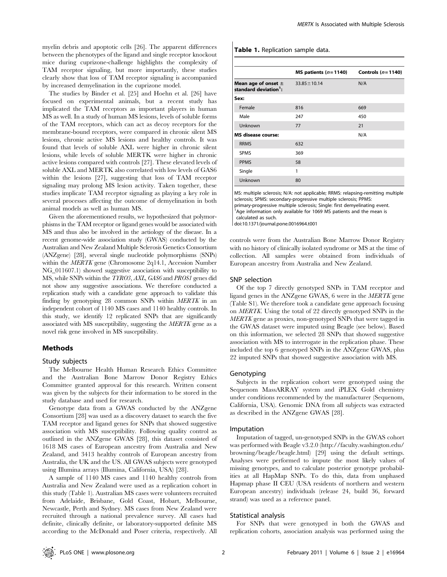myelin debris and apoptotic cells [26]. The apparent differences between the phenotypes of the ligand and single receptor knockout mice during cuprizone-challenge highlights the complexity of TAM receptor signaling, but more importantly, these studies clearly show that loss of TAM receptor signaling is accompanied by increased demyelination in the cuprizone model.

The studies by Binder et al. [25] and Hoehn et al. [26] have focused on experimental animals, but a recent study has implicated the TAM receptors as important players in human MS as well. In a study of human MS lesions, levels of soluble forms of the TAM receptors, which can act as decoy receptors for the membrane-bound receptors, were compared in chronic silent MS lesions, chronic active MS lesions and healthy controls. It was found that levels of soluble AXL were higher in chronic silent lesions, while levels of soluble MERTK were higher in chronic active lesions compared with controls [27]. These elevated levels of soluble AXL and MERTK also correlated with low levels of GAS6 within the lesions [27], suggesting that loss of TAM receptor signaling may prolong MS lesion activity. Taken together, these studies implicate TAM receptor signaling as playing a key role in several processes affecting the outcome of demyelination in both animal models as well as human MS.

Given the aforementioned results, we hypothesized that polymorphisms in the TAM receptor or ligand genes would be associated with MS and thus also be involved in the aetiology of the disease. In a recent genome-wide association study (GWAS) conducted by the Australian and New Zealand Multiple Sclerosis Genetics Consortium (ANZgene) [28], several single nucleotide polymorphisms (SNPs) within the *MERTK* gene (Chromosome 2q14.1, Accession Number NG\_011607.1) showed suggestive association with susceptibility to MS, while SNPs within the TYRO3, AXL, GAS6 and PROS1 genes did not show any suggestive associations. We therefore conducted a replication study with a candidate gene approach to validate this finding by genotyping 28 common SNPs within MERTK in an independent cohort of 1140 MS cases and 1140 healthy controls. In this study, we identify 12 replicated SNPs that are significantly associated with MS susceptibility, suggesting the MERTK gene as a novel risk gene involved in MS susceptibility.

#### Methods

#### Study subjects

The Melbourne Health Human Research Ethics Committee and the Australian Bone Marrow Donor Registry Ethics Committee granted approval for this research. Written consent was given by the subjects for their information to be stored in the study database and used for research.

Genotype data from a GWAS conducted by the ANZgene Consortium [28] was used as a discovery dataset to search the five TAM receptor and ligand genes for SNPs that showed suggestive association with MS susceptibility. Following quality control as outlined in the ANZgene GWAS [28], this dataset consisted of 1618 MS cases of European ancestry from Australia and New Zealand, and 3413 healthy controls of European ancestry from Australia, the UK and the US. All GWAS subjects were genotyped using Illumina arrays (Illumina, California, USA) [28].

A sample of 1140 MS cases and 1140 healthy controls from Australia and New Zealand were used as a replication cohort in this study (Table 1). Australian MS cases were volunteers recruited from Adelaide, Brisbane, Gold Coast, Hobart, Melbourne, Newcastle, Perth and Sydney. MS cases from New Zealand were recruited through a national prevalence survey. All cases had definite, clinically definite, or laboratory-supported definite MS according to the McDonald and Poser criteria, respectively. All

Table 1. Replication sample data.

|                                                              | MS patients $(n=1140)$ | Controls $(n=1140)$ |
|--------------------------------------------------------------|------------------------|---------------------|
| Mean age of onset $\pm$<br>standard deviation <sup>1</sup> : | $33.85 \pm 10.14$      | N/A                 |
| Sex:                                                         |                        |                     |
| Female                                                       | 816                    | 669                 |
| Male                                                         | 247                    | 450                 |
| Unknown                                                      | 77                     | 21                  |
| <b>MS</b> disease course:                                    |                        | N/A                 |
| <b>RRMS</b>                                                  | 632                    |                     |
| <b>SPMS</b>                                                  | 369                    |                     |
| <b>PPMS</b>                                                  | 58                     |                     |
| Single                                                       | 1                      |                     |
| Unknown                                                      | 80                     |                     |

MS: multiple sclerosis; N/A: not applicable; RRMS: relapsing-remitting multiple sclerosis; SPMS: secondary-progressive multiple sclerosis; PPMS:

primary-progressive multiple sclerosis; Single: first demyelinating event. <sup>1</sup>Age information only available for 1069 MS patients and the mean is

calculated as such.

doi:10.1371/journal.pone.0016964.t001

controls were from the Australian Bone Marrow Donor Registry with no history of clinically isolated syndrome or MS at the time of collection. All samples were obtained from individuals of European ancestry from Australia and New Zealand.

#### SNP selection

Of the top 7 directly genotyped SNPs in TAM receptor and ligand genes in the ANZgene GWAS, 6 were in the MERTK gene (Table S1). We therefore took a candidate gene approach focusing on MERTK. Using the total of 22 directly genotyped SNPs in the MERTK gene as proxies, non-genotyped SNPs that were tagged in the GWAS dataset were imputed using Beagle (see below). Based on this information, we selected 28 SNPs that showed suggestive association with MS to interrogate in the replication phase. These included the top 6 genotyped SNPs in the ANZgene GWAS, plus 22 imputed SNPs that showed suggestive association with MS.

#### Genotyping

Subjects in the replication cohort were genotyped using the Sequenom MassARRAY system and iPLEX Gold chemistry under conditions recommended by the manufacturer (Sequenom, California, USA). Genomic DNA from all subjects was extracted as described in the ANZgene GWAS [28].

#### Imputation

Imputation of tagged, un-genotyped SNPs in the GWAS cohort was performed with Beagle v3.2.0 (http://faculty.washington.edu/ browning/beagle/beagle.html) [29] using the default settings. Analyses were performed to impute the most likely values of missing genotypes, and to calculate posterior genotype probabilities at all HapMap SNPs. To do this, data from unphased Hapmap phase II CEU (USA residents of northern and western European ancestry) individuals (release 24, build 36, forward strand) was used as a reference panel.

#### Statistical analysis

For SNPs that were genotyped in both the GWAS and replication cohorts, association analysis was performed using the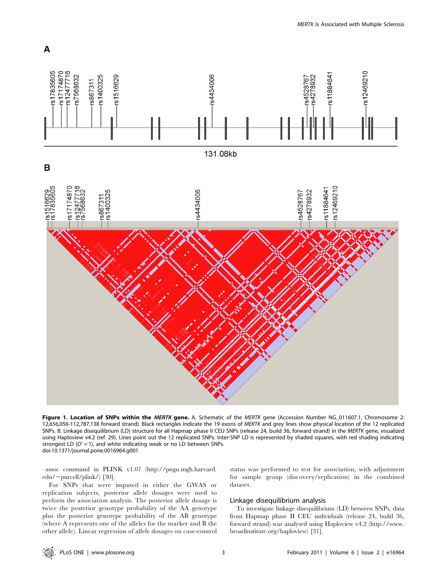

Figure 1. Location of SNPs within the MERTK gene. A. Schematic of the MERTK gene (Accession Number NG 011607.1, Chromosome 2: 12,656,056-112,787,138 forward strand). Black rectangles indicate the 19 exons of MERTK and grey lines show physical location of the 12 replicated SNPs. B. Linkage disequilibrium (LD) structure for all Hapmap phase II CEU SNPs (release 24, build 36, forward strand) in the MERTK gene, visualized using Haploview v4.2 (ref. 29). Lines point out the 12 replicated SNPs. Inter-SNP LD is represented by shaded squares, with red shading indicating strongest LD ( $D' = 1$ ), and white indicating weak or no LD between SNPs. doi:10.1371/journal.pone.0016964.g001

–assoc command in PLINK v1.07 (http://pngu.mgh.harvard.  $edu$ /~purcell/plink/) [30].

For SNPs that were imputed in either the GWAS or replication subjects, posterior allele dosages were used to perform the association analysis. The posterior allele dosage is twice the posterior genotype probability of the AA genotype plus the posterior genotype probability of the AB genotype (where A represents one of the alleles for the marker and B the other allele). Linear regression of allele dosages on case-control status was performed to test for association, with adjustment for sample group (discovery/replication) in the combined dataset.

# Linkage disequilibrium analysis

To investigate linkage disequilibrium (LD) between SNPs, data from Hapmap phase II CEU individuals (release 24, build 36, forward strand) was analysed using Haploview v4.2 (http://www. broadinstitute.org/haploview) [31].

A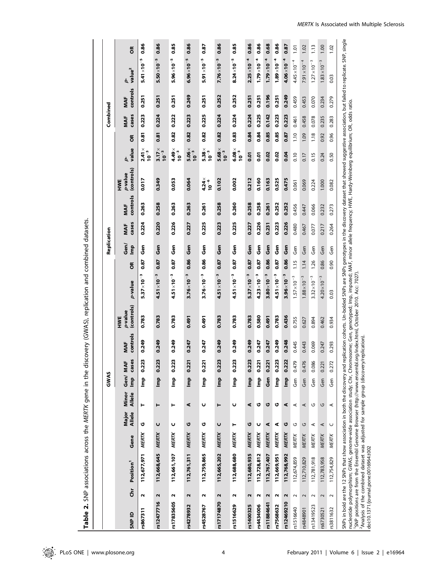Table 2. SNP associations across the MERTK gene in the discovery (GWAS), replication and combined datasets. Table 2. SNP associations across the MERTK gene in the discovery (GWAS), replication and combined datasets.

|            |                      |                                                                                                                                                                                                                                                                                                                                                                                                                                                                                                                                    |              |                 |                 | GWAS                                                    |                 |                 |                                                                                                                                                          |                            |      | Replication |              |                 |                              |                                                      |      | Combined     |                 |                         |               |
|------------|----------------------|------------------------------------------------------------------------------------------------------------------------------------------------------------------------------------------------------------------------------------------------------------------------------------------------------------------------------------------------------------------------------------------------------------------------------------------------------------------------------------------------------------------------------------|--------------|-----------------|-----------------|---------------------------------------------------------|-----------------|-----------------|----------------------------------------------------------------------------------------------------------------------------------------------------------|----------------------------|------|-------------|--------------|-----------------|------------------------------|------------------------------------------------------|------|--------------|-----------------|-------------------------|---------------|
| SNP ID     | Ğ                    | Position <sup>1</sup>                                                                                                                                                                                                                                                                                                                                                                                                                                                                                                              | Gene         | Major<br>Allele | Allele<br>Minor | Gen/MA<br>lmp                                           | es<br>Щ,<br>Cas | controls<br>MAF | (controls)<br>p-value<br>HWE                                                                                                                             | p-value                    | õ    | Gen/<br>lmp | cases<br>MAF | controls<br>MAF | (controls)<br>p-value<br>HWE | value<br>9                                           | õ    | cases<br>MAF | controls<br>MAF | value <sup>2</sup><br>9 | $\frac{8}{5}$ |
| rs867311   | $\sim$               | 112,677,971                                                                                                                                                                                                                                                                                                                                                                                                                                                                                                                        | MERTK        | O               | ۳               | $\frac{p}{E}$                                           | 0.223           | 0.249           | 0.783                                                                                                                                                    | M<br>$5.37 \times 10^{-7}$ | 0.87 | မ္မီ        | 0.224        | 0.263           | 0.017                        | $2.41 \times$<br>$10^{-3}$                           | 0.81 | 0.223        | 0.251           | $5.41 \times 10^{-7}$   | 0.86          |
| rs12477716 | $\mathbf{\tilde{z}}$ | 112,668,645                                                                                                                                                                                                                                                                                                                                                                                                                                                                                                                        | MERTK        | U               | ۳               | $\frac{p}{E}$                                           | 0.223           | 0.249           | 0.783                                                                                                                                                    | $4.51 \times 10^{-3}$      | 0.87 | Gen         | 0.220        | 0.258           | 0.349                        | $3.17\times$<br>$10^{-3}$                            | 0.81 | 0.224        | 0.251           | $5.50\times10^{-5}$     | 0.86          |
| rs17835605 | $\mathbf{\tilde{z}}$ | 112,661,107                                                                                                                                                                                                                                                                                                                                                                                                                                                                                                                        | <b>MERTK</b> | U               | ۳               | È                                                       | 0.223           | 0.249           | 0.783                                                                                                                                                    | $4.51 \times 10^{-3}$      | 0.87 | န္ပ်        | 0.226        | 0.263           | 0.053                        | $4.49\times$<br>$10^{-3}$                            | 0.82 | 0.222        | 0.251           | $5.96 \times 10^{-5}$   | 0.85          |
| rs4278932  | $\mathbf{\Omega}$    | 112,761,311                                                                                                                                                                                                                                                                                                                                                                                                                                                                                                                        | MERTK        | O               | ⋖               | Ê                                                       | 0.221           | 0.247           | 1670                                                                                                                                                     | $3.76 \times 10^{-3}$      | 0.86 | Gen         | 0.227        | 0.263           | 0.064                        | $5.06\times$<br>$10^{-3}$                            | 0.82 | 0.223        | 0.249           | $6.96\times10^{-5}$     | 0.86          |
| rs4528767  | $\sim$               | 112,759,865                                                                                                                                                                                                                                                                                                                                                                                                                                                                                                                        | MERTK        | O               | U               | Ê                                                       | 0.221           | 0.247           | 0.491                                                                                                                                                    | $3.76 \times 10^{-3}$      | 0.86 | Gen         | 0.225        | 0.261           | $4.24 \times$<br>$10^{-6}$   | $5.38\times$<br>$10^{-3}$                            | 0.82 | 0.225        | 0.251           | $5.91 \times 10^{-5}$   | 0.87          |
| rs17174870 | $\mathbf{\tilde{z}}$ | 112,665,202                                                                                                                                                                                                                                                                                                                                                                                                                                                                                                                        | MERTK        | U               | ۳               | $\mathop{\mathsf{B}\vphantom{a}}\nolimits^{\mathsf{p}}$ | 0.223           | 0.249           | 0.783                                                                                                                                                    | $4.51 \times 10^{-3}$      | 0.87 | Gen         | 0.223        | 0.258           | 0.102                        | $5.68\times$<br>$10^{-3}$                            | 0.82 | 0.224        | 0.252           | $7.76 \times 10^{-5}$   | 0.86          |
| rs1516629  | $\sim$               | 112,688,680 MERTK                                                                                                                                                                                                                                                                                                                                                                                                                                                                                                                  |              | ۳               | U               | Ê                                                       | 0.223           | 0.249           | 0.783                                                                                                                                                    | $4.51 \times 10^{-3}$      | 0.87 | Gen         | 0.225        | 0.260           | 0.002                        | $\begin{array}{c} 6.08 \times \ 10^{-3} \end{array}$ | 0.83 | 0.224        | 0.252           | $8.24 \times 10^{-5}$   | 0.85          |
| rs1400325  | Z                    | 112,680,935                                                                                                                                                                                                                                                                                                                                                                                                                                                                                                                        | <b>MERTK</b> | O               | ⋖               | Ê                                                       | 0.223           | 0.249           | 0.783                                                                                                                                                    | $5.37 \times 10^{-3}$      | 0.87 | Gen         | 0.227        | 0.258           | 0.212                        | 0.01                                                 | 0.84 | 0.224        | 0.251           | $2.25 \times 10^{-4}$   | 0.86          |
| rs4434006  | $\mathbf{\Omega}$    | 112,728,812                                                                                                                                                                                                                                                                                                                                                                                                                                                                                                                        | MERTK        | U               | ט               | $\frac{p}{E}$                                           | 0.221           | 0.247           | 0.580                                                                                                                                                    | $4.23 \times 10^{-3}$      | 0.87 | န္ပ်        | 0.226        | 0.258           | 0.160                        | 5 <sub>0.0</sub>                                     | 0.84 | 0.225        | 0.251           | $1.79\times10^{-4}$     | 0.86          |
| rs11884641 | N                    | 112,767,407                                                                                                                                                                                                                                                                                                                                                                                                                                                                                                                        | MERTK        | ⋖               | U               | Gen                                                     | 0.221           | 0.247           | <b>16t'0</b>                                                                                                                                             | $3.80\times10^{-3}$        | 0.86 | Gen         | 0.231        | 0.261           | 0.163                        | 0.02                                                 | 0.85 | 0.142        | 0.196           | $1.79\times10^{-4}$     | 0.68          |
| rs7568632  | Z                    | 112,669,951                                                                                                                                                                                                                                                                                                                                                                                                                                                                                                                        | <b>MERTK</b> | ⋖               | O               | $\frac{p}{E}$                                           | 0.223           | 0.249           | 0.783                                                                                                                                                    | $4.51 \times 10^{-3}$      | 0.87 | မ္မီ        | 0.223        | 0.252           | 0.525                        | 0.02                                                 | 0.85 | 0.223        | 0.251           | $1.89\times10^{-4}$     | 0.86          |
| rs12469210 | 2                    | 112,768,992                                                                                                                                                                                                                                                                                                                                                                                                                                                                                                                        | <b>MERTK</b> | U               | ⋖               | $\frac{p}{2}$                                           | 0.222           | 0.248           | 0.436                                                                                                                                                    | $3.96 \times 10^{-3}$      | 0.86 | Gen         | 0.226        | 0.252           | 0.475                        | 0.04                                                 | 0.87 | 0.223        | 0.249           | $4.06\times10^{-4}$     | 0.87          |
| rs1516640  | $\sim$               | 112,674,859                                                                                                                                                                                                                                                                                                                                                                                                                                                                                                                        | MERTK        | U               | ⋖               | Gen                                                     | Ŏ,<br>0.47      | 0.445           | 0.755                                                                                                                                                    | $1.57 \times 10^{-3}$      | 1.15 | Gen         | 0.480        | 0.456           | 0.061                        | 0.10                                                 | 1.10 | 0.461        | 0.459           | $4.45 \times 10^{-4}$   | 1.01          |
| rs4848901  | 2                    | 112,710,829                                                                                                                                                                                                                                                                                                                                                                                                                                                                                                                        | MERTK        | G               | ⋖               | Gen                                                     | 9<br>0.47       | 0.443           | 0.627                                                                                                                                                    | $1.88 \times 10^{-3}$      | 1.14 | Gen         | 0.467        | 0.447           | 0.069                        | 0.17                                                 | 1.09 | 0.458        | 0.453           | $7.91 \times 10^{-4}$   | 1.02          |
| rs13419523 | $\sim$               | 112,781,918                                                                                                                                                                                                                                                                                                                                                                                                                                                                                                                        | MERTK        | ⋖               | G               | Gen                                                     | 0.086           | 0.069           | 0.894                                                                                                                                                    | $3.32 \times 10^{-3}$      | 1.26 | Gen         | 0.077        | 0.066           | 0.224                        | 0.15                                                 | 1.18 | 0.078        | 0.070           | $1.27 \times 10^{-3}$   | 1.13          |
| rs6730521  | $\sim$               | 112,783,958                                                                                                                                                                                                                                                                                                                                                                                                                                                                                                                        | MERTK        | $\prec$         | U               | Gen                                                     | 0.221           | 0.247           | 0.462                                                                                                                                                    | $4.20 \times 10^{-3}$      | 0.86 | Gen         | 0.217        | 0.232           | 1.000                        | 0.24                                                 | 0.92 | 0.235        | 0.234           | $1.83 \times 10^{-3}$   | 1.00          |
| rs3811632  | $\sim$               | 112,754,829                                                                                                                                                                                                                                                                                                                                                                                                                                                                                                                        | MERTK        | $\cup$          | $\prec$         | Gen                                                     | 0.272           | 0.293           | 0.934                                                                                                                                                    | 0.03                       | 0.90 | Gen         | 0.264        | 0.273           | 0.082                        | 0.50                                                 | 0.96 | 0.283        | 0.279           | 0.03                    | 1.02          |
|            |                      | nucleotide polymorphism; GWAS, genome-wide association study; Chr. Chromosome; Gen, genotyped; Imp, imputed; MAF, minor allele frequency; HWE, Hardy-Weinberg equilibrium; OR, odds ratio.<br>'SNP positions are from the Ensembl Genome Browser (http://www.ensembl.org/index.html, October 2010. Acc: 7027).<br>Analysis of the combined dataset was adjusted for sample group (discovery/replication).<br>SNPs in bold are the 12 SNPs that show association in both the discovery and<br>doi:10.1371/journal.pone.0016964.t002 |              |                 |                 |                                                         |                 |                 | replication cohorts. Un-bolded SNPs are SNPs genotypes in the discovery dataset that showed suggestive association, but failed to replicate. SNP, single |                            |      |             |              |                 |                              |                                                      |      |              |                 |                         |               |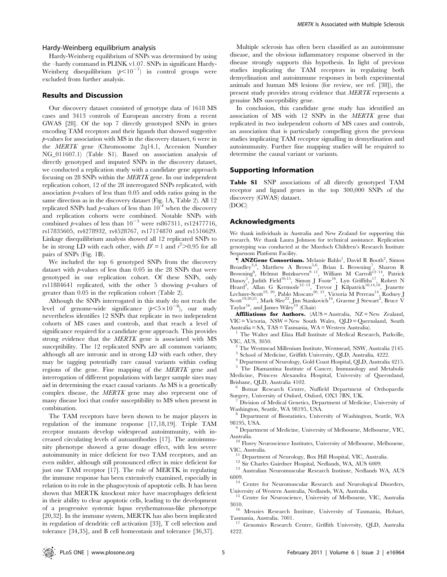#### Hardy-Weinberg equilibrium analysis

Hardy-Weinberg equilibrium of SNPs was determined by using the –hardy command in PLINK v1.07. SNPs in significant Hardy-Weinberg disequilibrium  $(p<10^{-7})$  in control groups were excluded from further analysis.

### Results and Discussion

Our discovery dataset consisted of genotype data of 1618 MS cases and 3413 controls of European ancestry from a recent GWAS [28]. Of the top 7 directly genotyped SNPs in genes encoding TAM receptors and their ligands that showed suggestive p-values for association with MS in the discovery dataset, 6 were in the MERTK gene (Chromosome 2q14.1, Accession Number NG\_011607.1) (Table S1). Based on association analysis of directly genotyped and imputed SNPs in the discovery dataset, we conducted a replication study with a candidate gene approach focusing on 28 SNPs within the MERTK gene. In our independent replication cohort, 12 of the 28 interrogated SNPs replicated, with association  $\nu$ -values of less than 0.05 and odds ratios going in the same direction as in the discovery dataset (Fig. 1A, Table 2). All 12 replicated SNPs had  $p$ -values of less than  $10^{-4}$  when the discovery and replication cohorts were combined. Notable SNPs with combined p-values of less than  $10^{-5}$  were rs867311, rs12477716, rs17835605, rs4278932, rs4528767, rs17174870 and rs1516629. Linkage disequilibrium analysis showed all 12 replicated SNPs to be in strong LD with each other, with  $D' = 1$  and  $r^2 > 0.95$  for all pairs of SNPs (Fig. 1B).

We included the top 6 genotyped SNPs from the discovery dataset with  $p$ -values of less than 0.05 in the 28 SNPs that were genotyped in our replication cohort. Of these SNPs, only rs11884641 replicated, with the other 5 showing  $p$ -values of greater than 0.05 in the replication cohort (Table 2).

Although the SNPs interrogated in this study do not reach the level of genome-wide significance  $(p<5\times10^{-8})$ , our study nevertheless identifies 12 SNPs that replicate in two independent cohorts of MS cases and controls, and that reach a level of significance required for a candidate gene approach. This provides strong evidence that the MERTK gene is associated with MS susceptibility. The 12 replicated SNPs are all common variants; although all are intronic and in strong LD with each other, they may be tagging potentially rare causal variants within coding regions of the gene. Fine mapping of the MERTK gene and interrogation of different populations with larger sample sizes may aid in determining the exact causal variants. As MS is a genetically complex disease, the MERTK gene may also represent one of many disease loci that confer susceptibility to MS when present in combination.

The TAM receptors have been shown to be major players in regulation of the immune response [17,18,19]. Triple TAM receptor mutants develop widespread autoimmunity, with increased circulating levels of autoantibodies [17]. The autoimmunity phenotype showed a gene dosage effect, with less severe autoimmunity in mice deficient for two TAM receptors, and an even milder, although still pronounced effect in mice deficient for just one TAM receptor [17]. The role of MERTK in regulating the immune response has been extensively examined, especially in relation to its role in the phagocytosis of apoptotic cells. It has been shown that MERTK knockout mice have macrophages deficient in their ability to clear apoptotic cells, leading to the development of a progressive systemic lupus erythematosus-like phenotype [20,32]. In the immune system, MERTK has also been implicated in regulation of dendritic cell activation [33], T cell selection and tolerance [34,35], and B cell homeostasis and tolerance [36,37].

Multiple sclerosis has often been classified as an autoimmune disease, and the obvious inflammatory response observed in the disease strongly supports this hypothesis. In light of previous studies implicating the TAM receptors in regulating both demyelination and autoimmune responses in both experimental animals and human MS lesions (for review, see ref. [38]), the present study provides strong evidence that MERTK represents a genuine MS susceptibility gene.

In conclusion, this candidate gene study has identified an association of MS with 12 SNPs in the MERTK gene that replicated in two independent cohorts of MS cases and controls, an association that is particularly compelling given the previous studies implicating TAM receptor signalling in demyelination and autoimmunity. Further fine mapping studies will be required to determine the causal variant or variants.

#### Supporting Information

Table S1 SNP associations of all directly genotyped TAM receptor and ligand genes in the top 300,000 SNPs of the discovery (GWAS) dataset. (DOC)

# Acknowledgments

We thank individuals in Australia and New Zealand for supporting this research. We thank Laura Johnson for technical assistance. Replication genotyping was conducted at the Murdoch Children's Research Institute Sequenom Platform Facility.

*MANZGene Consortium.* Melanie Bahlo<sup>1</sup>, David R Booth<sup>2</sup>, Simon Broadley<sup>3,4</sup>, Matthew A Brown<sup>5,6</sup>, Brian L Browning<sup>7</sup>, Sharon R<br>Browning<sup>8</sup>, Helmut Butzkueven<sup>9–11</sup>, William M Carroll<sup>12–14</sup>, Patrick Danoy<sup>5</sup>, Judith Field<sup>10,15</sup>, Simon J Foote<sup>16</sup>, Lyn Griffiths<sup>17</sup>, Robert N Heard<sup>2</sup>, Allan G Kermode<sup>12-13</sup>, Trevor J Kilpatrick<sup>10,14,18</sup>, Jeanette Lechner-Scott<sup>19, 20</sup>, Pablo Moscato<sup>20, 21</sup>, Victoria M Perreau<sup>14</sup>, Rodney J Scott<sup>19,20,21</sup>, Mark Slee<sup>22</sup>, Jim Stankovich<sup>16</sup>, Graeme J Stewart<sup>2</sup>, Bruce V Taylor<sup>16</sup>, and James Wiley<sup>10</sup> (Chair)

Affiliations for Authors. (AUS = Australia, NZ = New Zealand, VIC = Victoria, NSW = New South Wales, QLD = Queensland, South

Australia = SA, TAS = Tasmania, WA = Western Australia).<br><sup>1</sup> The Walter and Eliza Hall Institute of Medical Research, Parkville, VIC, AUS, 3050.

The Westmead Millenium Institute, Westmead, NSW, Australia 2145.

<sup>3</sup> School of Medicine, Griffith University, QLD, Australia, 4222.

<sup>4</sup> Department of Neurology, Gold Coast Hospital, QLD, Australia 4215.

<sup>5</sup> The Diamantina Institute of Cancer, Immunology and Metabolic Medicine, Princess Alexandra Hospital, University of Queensland,

 $$\rm~6$$ Botnar Research Centre, Nuffield Department of Orthopaedic  $$\rm~6$$ 

Surgery, University of Oxford, Oxford, OX3 7BN, UK.<br><sup>7</sup> Division of Medical Genetics, Department of Medicine, University of Washington, Seattle, WA 98195, USA.

<sup>8</sup> Department of Biostatistics, University of Washington, Seattle, WA

98195, USA.<br><sup>9</sup> Department of Medicine, University of Melbourne, Melbourne, VIC, Australia.

 $^{10}$  Florey Neuroscience Institutes, University of Melbourne, Melbourne,  $\,$ 

VIC, Australia.<br><sup>11</sup> Department of Neurology, Box Hill Hospital, VIC, Australia.<br><sup>12</sup> Sir Charles Gairdner Hospital, Nedlands, WA, AUS 6009.<br><sup>13</sup> Australian Neuromuscular Research Institute, Nedlands WA, AUS<br>6009.

 $^{14}$  Centre for Neuromuscular Research and Neurological Disorders,

University of Western Australia, Nedlands, WA, Australia.<br><sup>15</sup> Centre for Neuroscience, University of Melbourne, VIC, Australia<br>3010.

<sup>16</sup> Menzies Research Institute, University of Tasmania, Hobart,

Tasmania, Australia. 7001. <sup>17</sup> Genomics Research Centre, Griffith University, QLD, Australia 4999